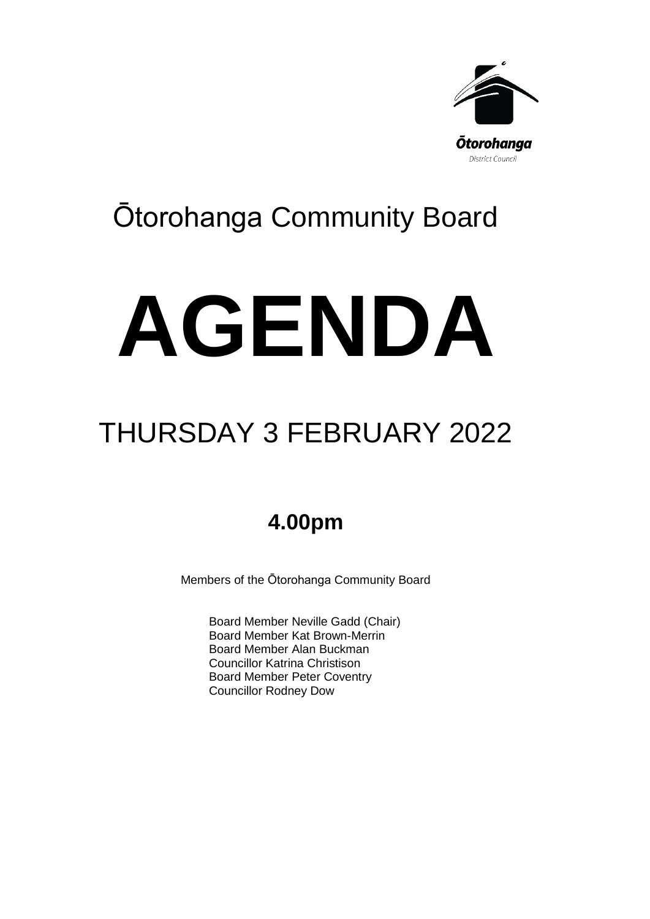

# Ōtorohanga Community Board

# **AGENDA**

## THURSDAY 3 FEBRUARY 2022

## **4.00pm**

Members of the Ōtorohanga Community Board

Board Member Neville Gadd (Chair) Board Member Kat Brown-Merrin Board Member Alan Buckman Councillor Katrina Christison Board Member Peter Coventry Councillor Rodney Dow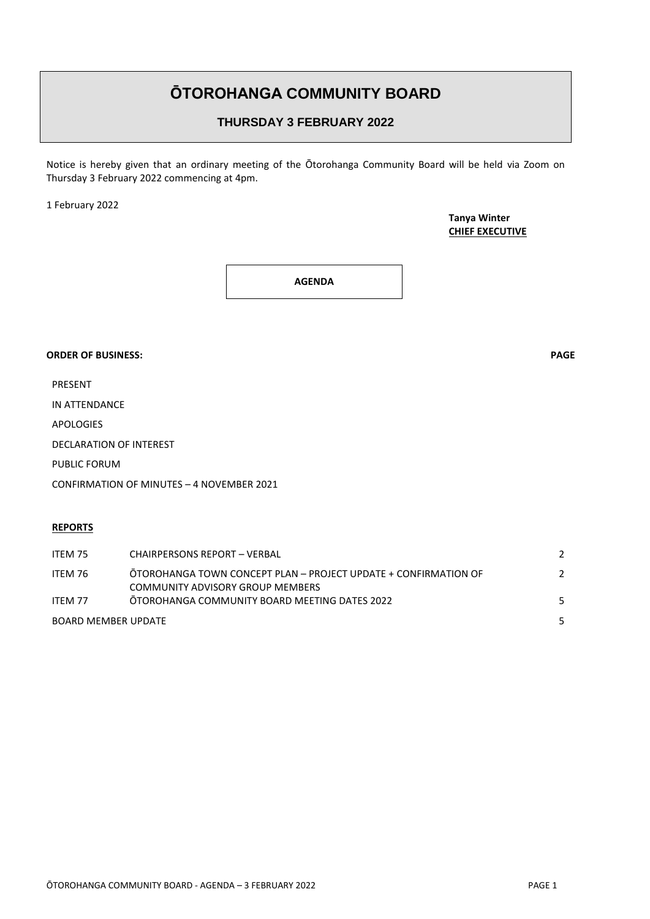### **ŌTOROHANGA COMMUNITY BOARD**

#### **THURSDAY 3 FEBRUARY 2022**

Notice is hereby given that an ordinary meeting of the Ōtorohanga Community Board will be held via Zoom on Thursday 3 February 2022 commencing at 4pm.

1 February 2022

**Tanya Winter CHIEF EXECUTIVE**

**AGENDA**

#### **ORDER OF BUSINESS: PAGE**

PRESENT

IN ATTENDANCE

APOLOGIES

DECLARATION OF INTEREST

PUBLIC FORUM

CONFIRMATION OF MINUTES – 4 NOVEMBER 2021

#### **REPORTS**

| ITEM 75                    | <b>CHAIRPERSONS REPORT - VERBAL</b>                                                                 |  |
|----------------------------|-----------------------------------------------------------------------------------------------------|--|
| ITEM 76                    | OTOROHANGA TOWN CONCEPT PLAN - PROJECT UPDATE + CONFIRMATION OF<br>COMMUNITY ADVISORY GROUP MEMBERS |  |
| ITFM 77                    | OTOROHANGA COMMUNITY BOARD MEETING DATES 2022                                                       |  |
| <b>BOARD MEMBER UPDATE</b> |                                                                                                     |  |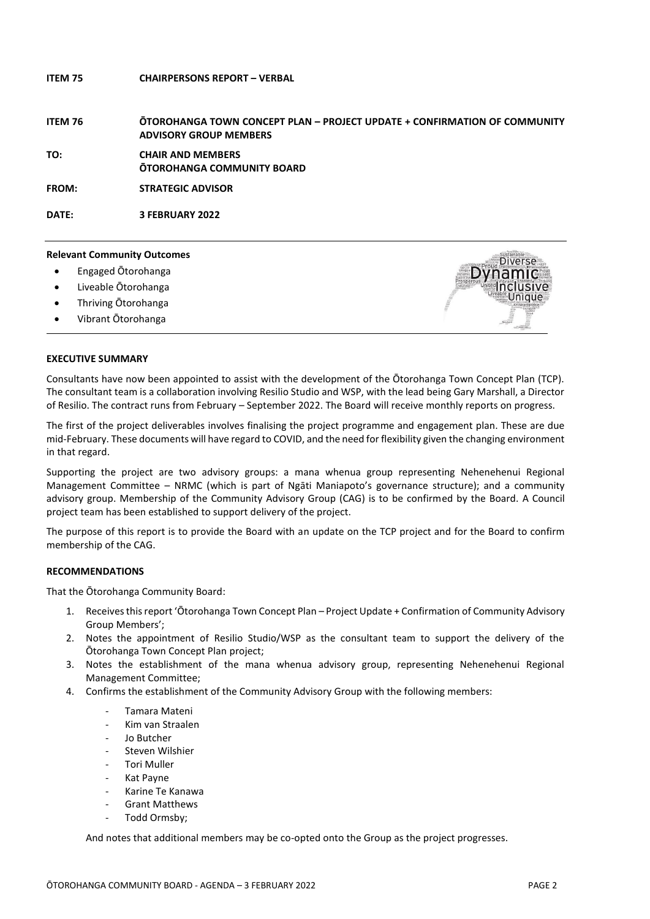#### **ITEM 75 CHAIRPERSONS REPORT – VERBAL**

**ITEM 76 ŌTOROHANGA TOWN CONCEPT PLAN – PROJECT UPDATE + CONFIRMATION OF COMMUNITY ADVISORY GROUP MEMBERS** 

**TO: CHAIR AND MEMBERS ŌTOROHANGA COMMUNITY BOARD**

**FROM: STRATEGIC ADVISOR**

**DATE: 3 FEBRUARY 2022**

#### **Relevant Community Outcomes**

- Engaged Ōtorohanga
- Liveable Ōtorohanga
- Thriving Ōtorohanga
- Vibrant Ōtorohanga



#### **EXECUTIVE SUMMARY**

Consultants have now been appointed to assist with the development of the Ōtorohanga Town Concept Plan (TCP). The consultant team is a collaboration involving Resilio Studio and WSP, with the lead being Gary Marshall, a Director of Resilio. The contract runs from February – September 2022. The Board will receive monthly reports on progress.

The first of the project deliverables involves finalising the project programme and engagement plan. These are due mid-February. These documents will have regard to COVID, and the need for flexibility given the changing environment in that regard.

Supporting the project are two advisory groups: a mana whenua group representing Nehenehenui Regional Management Committee – NRMC (which is part of Ngāti Maniapoto's governance structure); and a community advisory group. Membership of the Community Advisory Group (CAG) is to be confirmed by the Board. A Council project team has been established to support delivery of the project.

The purpose of this report is to provide the Board with an update on the TCP project and for the Board to confirm membership of the CAG.

#### **RECOMMENDATIONS**

That the Ōtorohanga Community Board:

- 1. Receives this report 'Ōtorohanga Town Concept Plan Project Update + Confirmation of Community Advisory Group Members';
- 2. Notes the appointment of Resilio Studio/WSP as the consultant team to support the delivery of the Ōtorohanga Town Concept Plan project;
- 3. Notes the establishment of the mana whenua advisory group, representing Nehenehenui Regional Management Committee;
- 4. Confirms the establishment of the Community Advisory Group with the following members:
	- Tamara Mateni
	- Kim van Straalen
	- Jo Butcher
	- Steven Wilshier
	- Tori Muller
	- Kat Payne
	- Karine Te Kanawa
	- Grant Matthews
	- Todd Ormsby;

And notes that additional members may be co-opted onto the Group as the project progresses.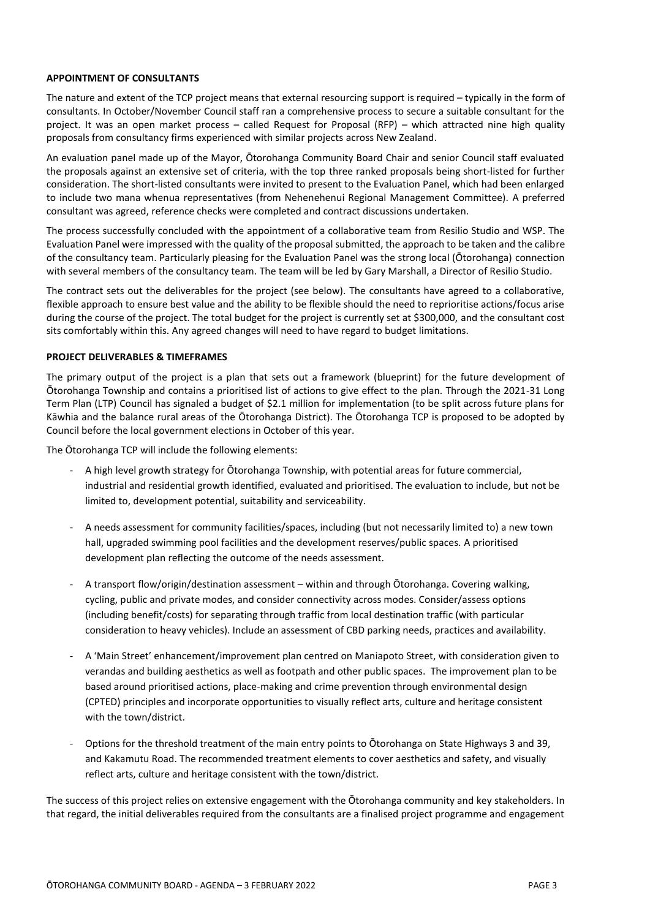#### **APPOINTMENT OF CONSULTANTS**

The nature and extent of the TCP project means that external resourcing support is required – typically in the form of consultants. In October/November Council staff ran a comprehensive process to secure a suitable consultant for the project. It was an open market process – called Request for Proposal (RFP) – which attracted nine high quality proposals from consultancy firms experienced with similar projects across New Zealand.

An evaluation panel made up of the Mayor, Ōtorohanga Community Board Chair and senior Council staff evaluated the proposals against an extensive set of criteria, with the top three ranked proposals being short-listed for further consideration. The short-listed consultants were invited to present to the Evaluation Panel, which had been enlarged to include two mana whenua representatives (from Nehenehenui Regional Management Committee). A preferred consultant was agreed, reference checks were completed and contract discussions undertaken.

The process successfully concluded with the appointment of a collaborative team from Resilio Studio and WSP. The Evaluation Panel were impressed with the quality of the proposal submitted, the approach to be taken and the calibre of the consultancy team. Particularly pleasing for the Evaluation Panel was the strong local (Ōtorohanga) connection with several members of the consultancy team. The team will be led by Gary Marshall, a Director of Resilio Studio.

The contract sets out the deliverables for the project (see below). The consultants have agreed to a collaborative, flexible approach to ensure best value and the ability to be flexible should the need to reprioritise actions/focus arise during the course of the project. The total budget for the project is currently set at \$300,000, and the consultant cost sits comfortably within this. Any agreed changes will need to have regard to budget limitations.

#### **PROJECT DELIVERABLES & TIMEFRAMES**

The primary output of the project is a plan that sets out a framework (blueprint) for the future development of Ōtorohanga Township and contains a prioritised list of actions to give effect to the plan. Through the 2021-31 Long Term Plan (LTP) Council has signaled a budget of \$2.1 million for implementation (to be split across future plans for Kāwhia and the balance rural areas of the Ōtorohanga District). The Ōtorohanga TCP is proposed to be adopted by Council before the local government elections in October of this year.

The Ōtorohanga TCP will include the following elements:

- A high level growth strategy for Ōtorohanga Township, with potential areas for future commercial, industrial and residential growth identified, evaluated and prioritised. The evaluation to include, but not be limited to, development potential, suitability and serviceability.
- A needs assessment for community facilities/spaces, including (but not necessarily limited to) a new town hall, upgraded swimming pool facilities and the development reserves/public spaces. A prioritised development plan reflecting the outcome of the needs assessment.
- A transport flow/origin/destination assessment within and through Ōtorohanga. Covering walking, cycling, public and private modes, and consider connectivity across modes. Consider/assess options (including benefit/costs) for separating through traffic from local destination traffic (with particular consideration to heavy vehicles). Include an assessment of CBD parking needs, practices and availability.
- A 'Main Street' enhancement/improvement plan centred on Maniapoto Street, with consideration given to verandas and building aesthetics as well as footpath and other public spaces. The improvement plan to be based around prioritised actions, place-making and crime prevention through environmental design (CPTED) principles and incorporate opportunities to visually reflect arts, culture and heritage consistent with the town/district.
- Options for the threshold treatment of the main entry points to Ōtorohanga on State Highways 3 and 39, and Kakamutu Road. The recommended treatment elements to cover aesthetics and safety, and visually reflect arts, culture and heritage consistent with the town/district.

The success of this project relies on extensive engagement with the Ōtorohanga community and key stakeholders. In that regard, the initial deliverables required from the consultants are a finalised project programme and engagement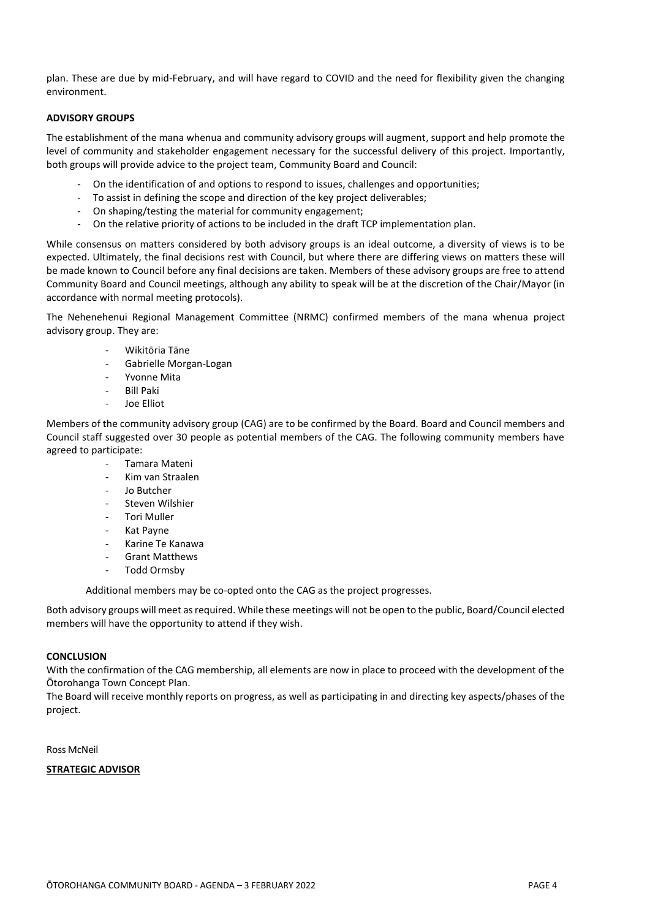plan. These are due by mid-February, and will have regard to COVID and the need for flexibility given the changing environment.

#### **ADVISORY GROUPS**

The establishment of the mana whenua and community advisory groups will augment, support and help promote the level of community and stakeholder engagement necessary for the successful delivery of this project. Importantly, both groups will provide advice to the project team, Community Board and Council:

- On the identification of and options to respond to issues, challenges and opportunities;
- To assist in defining the scope and direction of the key project deliverables;
- On shaping/testing the material for community engagement;
- On the relative priority of actions to be included in the draft TCP implementation plan.

While consensus on matters considered by both advisory groups is an ideal outcome, a diversity of views is to be expected. Ultimately, the final decisions rest with Council, but where there are differing views on matters these will be made known to Council before any final decisions are taken. Members of these advisory groups are free to attend Community Board and Council meetings, although any ability to speak will be at the discretion of the Chair/Mayor (in accordance with normal meeting protocols).

The Nehenehenui Regional Management Committee (NRMC) confirmed members of the mana whenua project advisory group. They are:

- Wikitōria Tāne
- Gabrielle Morgan-Logan
- Yvonne Mita
- Bill Paki
- Joe Elliot

Members of the community advisory group (CAG) are to be confirmed by the Board. Board and Council members and Council staff suggested over 30 people as potential members of the CAG. The following community members have agreed to participate:

- Tamara Mateni
- Kim van Straalen
- Jo Butcher
- Steven Wilshier
- Tori Muller
- Kat Payne
- Karine Te Kanawa
- Grant Matthews
- Todd Ormsby

Additional members may be co-opted onto the CAG as the project progresses.

Both advisory groups will meet as required. While these meetings will not be open to the public, Board/Council elected members will have the opportunity to attend if they wish.

#### **CONCLUSION**

With the confirmation of the CAG membership, all elements are now in place to proceed with the development of the Ōtorohanga Town Concept Plan.

The Board will receive monthly reports on progress, as well as participating in and directing key aspects/phases of the project.

Ross McNeil

#### **STRATEGIC ADVISOR**